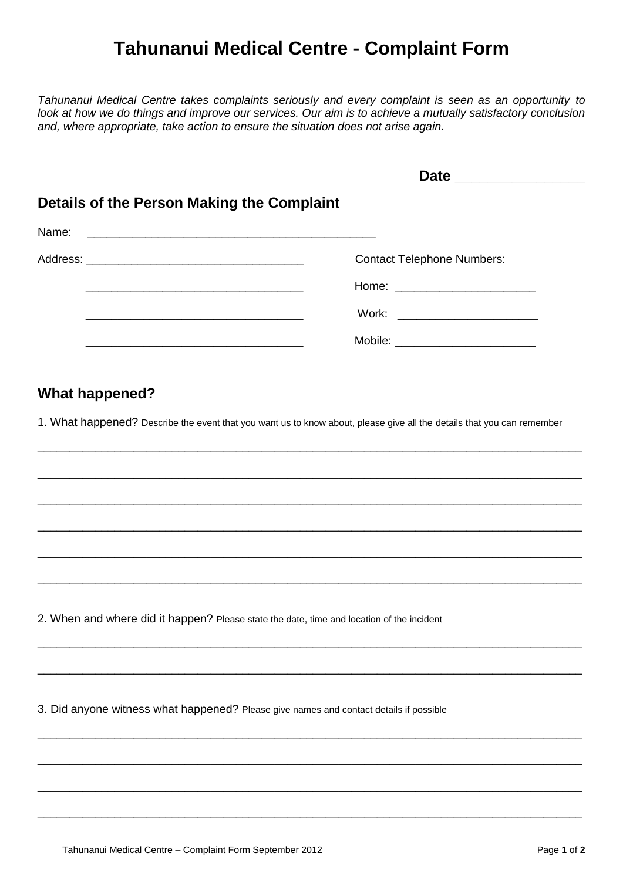## **Tahunanui Medical Centre - Complaint Form**

*Tahunanui Medical Centre takes complaints seriously and every complaint is seen as an opportunity to look at how we do things and improve our services. Our aim is to achieve a mutually satisfactory conclusion and, where appropriate, take action to ensure the situation does not arise again.*

|                                            | Date _______________                |
|--------------------------------------------|-------------------------------------|
| Details of the Person Making the Complaint |                                     |
|                                            |                                     |
|                                            | <b>Contact Telephone Numbers:</b>   |
|                                            |                                     |
|                                            | Work: _____________________________ |
|                                            |                                     |
|                                            |                                     |

## **What happened?**

1. What happened? Describe the event that you want us to know about, please give all the details that you can remember

\_\_\_\_\_\_\_\_\_\_\_\_\_\_\_\_\_\_\_\_\_\_\_\_\_\_\_\_\_\_\_\_\_\_\_\_\_\_\_\_\_\_\_\_\_\_\_\_\_\_\_\_\_\_\_\_\_\_\_\_\_\_\_\_\_\_\_\_\_\_\_\_\_\_\_\_\_\_\_\_\_\_\_\_\_

\_\_\_\_\_\_\_\_\_\_\_\_\_\_\_\_\_\_\_\_\_\_\_\_\_\_\_\_\_\_\_\_\_\_\_\_\_\_\_\_\_\_\_\_\_\_\_\_\_\_\_\_\_\_\_\_\_\_\_\_\_\_\_\_\_\_\_\_\_\_\_\_\_\_\_\_\_\_\_\_\_\_\_\_\_

\_\_\_\_\_\_\_\_\_\_\_\_\_\_\_\_\_\_\_\_\_\_\_\_\_\_\_\_\_\_\_\_\_\_\_\_\_\_\_\_\_\_\_\_\_\_\_\_\_\_\_\_\_\_\_\_\_\_\_\_\_\_\_\_\_\_\_\_\_\_\_\_\_\_\_\_\_\_\_\_\_\_\_\_\_

\_\_\_\_\_\_\_\_\_\_\_\_\_\_\_\_\_\_\_\_\_\_\_\_\_\_\_\_\_\_\_\_\_\_\_\_\_\_\_\_\_\_\_\_\_\_\_\_\_\_\_\_\_\_\_\_\_\_\_\_\_\_\_\_\_\_\_\_\_\_\_\_\_\_\_\_\_\_\_\_\_\_\_\_\_

\_\_\_\_\_\_\_\_\_\_\_\_\_\_\_\_\_\_\_\_\_\_\_\_\_\_\_\_\_\_\_\_\_\_\_\_\_\_\_\_\_\_\_\_\_\_\_\_\_\_\_\_\_\_\_\_\_\_\_\_\_\_\_\_\_\_\_\_\_\_\_\_\_\_\_\_\_\_\_\_\_\_\_\_\_

\_\_\_\_\_\_\_\_\_\_\_\_\_\_\_\_\_\_\_\_\_\_\_\_\_\_\_\_\_\_\_\_\_\_\_\_\_\_\_\_\_\_\_\_\_\_\_\_\_\_\_\_\_\_\_\_\_\_\_\_\_\_\_\_\_\_\_\_\_\_\_\_\_\_\_\_\_\_\_\_\_\_\_\_\_

\_\_\_\_\_\_\_\_\_\_\_\_\_\_\_\_\_\_\_\_\_\_\_\_\_\_\_\_\_\_\_\_\_\_\_\_\_\_\_\_\_\_\_\_\_\_\_\_\_\_\_\_\_\_\_\_\_\_\_\_\_\_\_\_\_\_\_\_\_\_\_\_\_\_\_\_\_\_\_\_\_\_\_\_\_

\_\_\_\_\_\_\_\_\_\_\_\_\_\_\_\_\_\_\_\_\_\_\_\_\_\_\_\_\_\_\_\_\_\_\_\_\_\_\_\_\_\_\_\_\_\_\_\_\_\_\_\_\_\_\_\_\_\_\_\_\_\_\_\_\_\_\_\_\_\_\_\_\_\_\_\_\_\_\_\_\_\_\_\_\_

\_\_\_\_\_\_\_\_\_\_\_\_\_\_\_\_\_\_\_\_\_\_\_\_\_\_\_\_\_\_\_\_\_\_\_\_\_\_\_\_\_\_\_\_\_\_\_\_\_\_\_\_\_\_\_\_\_\_\_\_\_\_\_\_\_\_\_\_\_\_\_\_\_\_\_\_\_\_\_\_\_\_\_\_\_

\_\_\_\_\_\_\_\_\_\_\_\_\_\_\_\_\_\_\_\_\_\_\_\_\_\_\_\_\_\_\_\_\_\_\_\_\_\_\_\_\_\_\_\_\_\_\_\_\_\_\_\_\_\_\_\_\_\_\_\_\_\_\_\_\_\_\_\_\_\_\_\_\_\_\_\_\_\_\_\_\_\_\_\_\_

\_\_\_\_\_\_\_\_\_\_\_\_\_\_\_\_\_\_\_\_\_\_\_\_\_\_\_\_\_\_\_\_\_\_\_\_\_\_\_\_\_\_\_\_\_\_\_\_\_\_\_\_\_\_\_\_\_\_\_\_\_\_\_\_\_\_\_\_\_\_\_\_\_\_\_\_\_\_\_\_\_\_\_\_\_

\_\_\_\_\_\_\_\_\_\_\_\_\_\_\_\_\_\_\_\_\_\_\_\_\_\_\_\_\_\_\_\_\_\_\_\_\_\_\_\_\_\_\_\_\_\_\_\_\_\_\_\_\_\_\_\_\_\_\_\_\_\_\_\_\_\_\_\_\_\_\_\_\_\_\_\_\_\_\_\_\_\_\_\_\_

2. When and where did it happen? Please state the date, time and location of the incident

3. Did anyone witness what happened? Please give names and contact details if possible